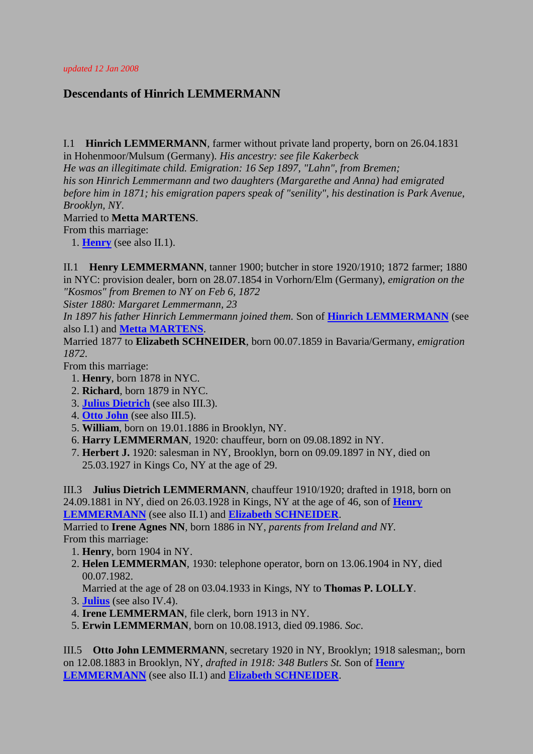## **Descendants of Hinrich LEMMERMANN**

<span id="page-0-1"></span>I.1 **Hinrich LEMMERMANN**, farmer without private land property, born on 26.04.1831

in Hohenmoor/Mulsum (Germany). *His ancestry: see file Kakerbeck*

*He was an illegitimate child. Emigration: 16 Sep 1897, "Lahn", from Bremen;*

*his son Hinrich Lemmermann and two daughters (Margarethe and Anna) had emigrated* 

*before him in 1871; his emigration papers speak of "senility", his destination is Park Avenue, Brooklyn, NY*.

## <span id="page-0-2"></span>Married to **Metta MARTENS**.

From this marriage:

1. **[Henry](#page-0-0)** (see also II.1).

<span id="page-0-0"></span>II.1 **Henry LEMMERMANN**, tanner 1900; butcher in store 1920/1910; 1872 farmer; 1880 in NYC: provision dealer, born on 28.07.1854 in Vorhorn/Elm (Germany), *emigration on the "Kosmos" from Bremen to NY on Feb 6, 1872*

*Sister 1880: Margaret Lemmermann, 23*

*In 1897 his father Hinrich Lemmermann joined them.* Son of **[Hinrich LEMMERMANN](#page-0-1)** (see also I.1) and **[Metta MARTENS](#page-0-2)**.

<span id="page-0-5"></span>Married 1877 to **Elizabeth SCHNEIDER**, born 00.07.1859 in Bavaria/Germany, *emigration 1872*.

From this marriage:

- 1. **Henry**, born 1878 in NYC.
- 2. **Richard**, born 1879 in NYC.
- 3. **[Julius Dietrich](#page-0-3)** (see also III.3).
- 4. **[Otto John](#page-0-4)** (see also III.5).
- 5. **William**, born on 19.01.1886 in Brooklyn, NY.
- 6. **Harry LEMMERMAN**, 1920: chauffeur, born on 09.08.1892 in NY.
- 7. **Herbert J.** 1920: salesman in NY, Brooklyn, born on 09.09.1897 in NY, died on 25.03.1927 in Kings Co, NY at the age of 29.

<span id="page-0-3"></span>III.3 **Julius Dietrich LEMMERMANN**, chauffeur 1910/1920; drafted in 1918, born on 24.09.1881 in NY, died on 26.03.1928 in Kings, NY at the age of 46, son of **[Henry](#page-0-0)  [LEMMERMANN](#page-0-0)** (see also II.1) and **[Elizabeth SCHNEIDER](#page-0-5)**.

Married to **Irene Agnes NN**, born 1886 in NY, *parents from Ireland and NY*. From this marriage:

- <span id="page-0-6"></span>1. **Henry**, born 1904 in NY.
- 2. **Helen LEMMERMAN**, 1930: telephone operator, born on 13.06.1904 in NY, died 00.07.1982.

Married at the age of 28 on 03.04.1933 in Kings, NY to **Thomas P. LOLLY**.

- 3. **[Julius](#page-1-0)** (see also IV.4).
- 4. **Irene LEMMERMAN**, file clerk, born 1913 in NY.
- 5. **Erwin LEMMERMAN**, born on 10.08.1913, died 09.1986. *Soc*.

<span id="page-0-4"></span>III.5 **Otto John LEMMERMANN**, secretary 1920 in NY, Brooklyn; 1918 salesman;, born on 12.08.1883 in Brooklyn, NY, *drafted in 1918: 348 Butlers St.* Son of **[Henry](#page-0-0)  [LEMMERMANN](#page-0-0)** (see also II.1) and **[Elizabeth SCHNEIDER](#page-0-5)**.